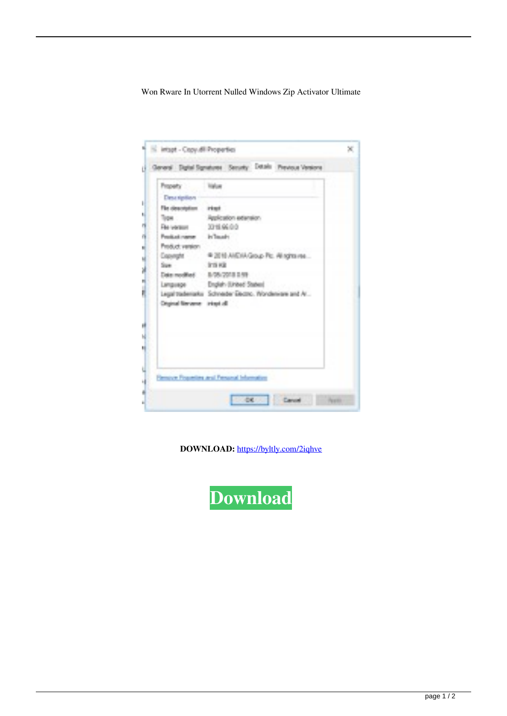Won Rware In Utorrent Nulled Windows Zip Activator Ultimate

| The description - Integri<br>Topics.<br>Application extension<br>File (vorster) 2719.96.0.0<br>Popitationers in Insula<br>Product version.<br>Store.<br>- 文庫 明治<br>Date notified: 5/05/2018 0:59<br>Language English-Stribed States)<br>Legal trademarks Schneder Electric, Nonderview and AL.<br>Cruisal Service - Integral | Property :               | <b>Tradition</b> |
|------------------------------------------------------------------------------------------------------------------------------------------------------------------------------------------------------------------------------------------------------------------------------------------------------------------------------|--------------------------|------------------|
|                                                                                                                                                                                                                                                                                                                              | <b><i>Contribute</i></b> |                  |
|                                                                                                                                                                                                                                                                                                                              |                          |                  |
|                                                                                                                                                                                                                                                                                                                              |                          |                  |
|                                                                                                                                                                                                                                                                                                                              |                          |                  |
|                                                                                                                                                                                                                                                                                                                              |                          |                  |
|                                                                                                                                                                                                                                                                                                                              |                          |                  |
|                                                                                                                                                                                                                                                                                                                              |                          |                  |
|                                                                                                                                                                                                                                                                                                                              |                          |                  |
|                                                                                                                                                                                                                                                                                                                              |                          |                  |
|                                                                                                                                                                                                                                                                                                                              |                          |                  |
|                                                                                                                                                                                                                                                                                                                              |                          |                  |
|                                                                                                                                                                                                                                                                                                                              |                          |                  |
|                                                                                                                                                                                                                                                                                                                              |                          |                  |
|                                                                                                                                                                                                                                                                                                                              |                          |                  |

DOWNLOAD: https://byltly.com/2iqhve